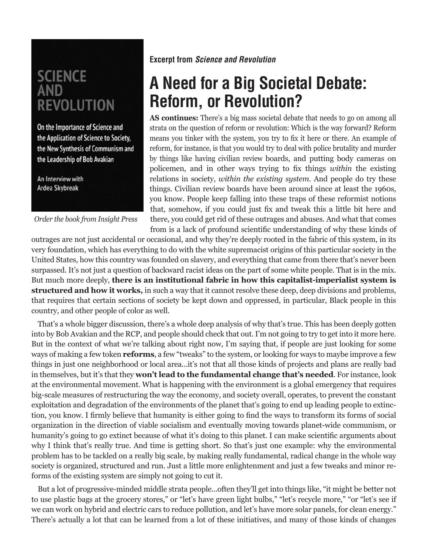## **SCIENCE AND REVOLUTION**

On the Importance of Science and the Application of Science to Society, the New Synthesis of Communism and the Leadership of Bob Avakian

An Interview with Ardea Skybreak

*Order the book from Insight Press*

## **Excerpt from** *Science and Revolution*

## **A Need for a Big Societal Debate: Reform, or Revolution?**

**AS continues:** There's a big mass societal debate that needs to go on among all strata on the question of reform or revolution: Which is the way forward? Reform means you tinker with the system, you try to fix it here or there. An example of reform, for instance, is that you would try to deal with police brutality and murder by things like having civilian review boards, and putting body cameras on policemen, and in other ways trying to fix things *within* the existing relations in society, *within the existing system*. And people do try these things. Civilian review boards have been around since at least the 1960s, you know. People keep falling into these traps of these reformist notions that, somehow, if you could just fix and tweak this a little bit here and there, you could get rid of these outrages and abuses. And what that comes from is a lack of profound scientific understanding of why these kinds of

outrages are not just accidental or occasional, and why they're deeply rooted in the fabric of this system, in its very foundation, which has everything to do with the white supremacist origins of this particular society in the United States, how this country was founded on slavery, and everything that came from there that's never been surpassed. It's not just a question of backward racist ideas on the part of some white people. That is in the mix. But much more deeply, **there is an institutional fabric in how this capitalist-imperialist system is structured and how it works,** in such a way that it cannot resolve these deep, deep divisions and problems, that requires that certain sections of society be kept down and oppressed, in particular, Black people in this country, and other people of color as well.

That's a whole bigger discussion, there's a whole deep analysis of why that's true. This has been deeply gotten into by Bob Avakian and the RCP, and people should check that out. I'm not going to try to get into it more here. But in the context of what we're talking about right now, I'm saying that, if people are just looking for some ways of making a few token **reforms**, a few "tweaks" to the system, or looking for ways to maybe improve a few things in just one neighborhood or local area...it's not that all those kinds of projects and plans are really bad in themselves, but it's that they **won't lead to the fundamental change that's needed**. For instance, look at the environmental movement. What is happening with the environment is a global emergency that requires big-scale measures of restructuring the way the economy, and society overall, operates, to prevent the constant exploitation and degradation of the environments of the planet that's going to end up leading people to extinction, you know. I firmly believe that humanity is either going to find the ways to transform its forms of social organization in the direction of viable socialism and eventually moving towards planet-wide communism, or humanity's going to go extinct because of what it's doing to this planet. I can make scientific arguments about why I think that's really true. And time is getting short. So that's just one example: why the environmental problem has to be tackled on a really big scale, by making really fundamental, radical change in the whole way society is organized, structured and run. Just a little more enlightenment and just a few tweaks and minor reforms of the existing system are simply not going to cut it.

But a lot of progressive-minded middle strata people...often they'll get into things like, "it might be better not to use plastic bags at the grocery stores," or "let's have green light bulbs," "let's recycle more," "or "let's see if we can work on hybrid and electric cars to reduce pollution, and let's have more solar panels, for clean energy." There's actually a lot that can be learned from a lot of these initiatives, and many of those kinds of changes